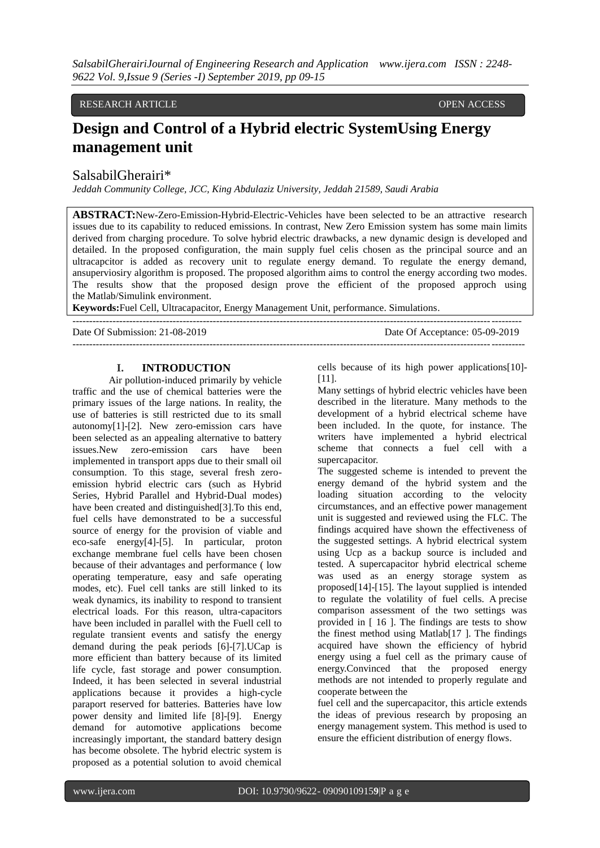# RESEARCH ARTICLE OPEN ACCESS

# **Design and Control of a Hybrid electric SystemUsing Energy management unit**

# SalsabilGherairi\*

*Jeddah Community College, JCC, King Abdulaziz University, Jeddah 21589, Saudi Arabia*

**ABSTRACT:**New-Zero-Emission-Hybrid-Electric-Vehicles have been selected to be an attractive research issues due to its capability to reduced emissions. In contrast, New Zero Emission system has some main limits derived from charging procedure. To solve hybrid electric drawbacks, a new dynamic design is developed and detailed. In the proposed configuration, the main supply fuel celis chosen as the principal source and an ultracapcitor is added as recovery unit to regulate energy demand. To regulate the energy demand, ansuperviosiry algorithm is proposed. The proposed algorithm aims to control the energy according two modes. The results show that the proposed design prove the efficient of the proposed approch using the [Matlab/Simulink](https://www.sciencedirect.com/topics/engineering/matlab-simulink) environment.

--------------------------------------------------------------------------------------------------------------------------------------

**Keywords:**Fuel Cell, Ultracapacitor, Energy Management Unit, performance. Simulations.

Date Of Submission: 21-08-2019 Date Of Acceptance: 05-09-2019

---------------------------------------------------------------------------------------------------------------------------------------

## **I. INTRODUCTION**

Air pollution-induced primarily by vehicle traffic and the use of chemical batteries were the primary issues of the large nations. In reality, the use of batteries is still restricted due to its small autonomy[1]-[2]. New zero-emission cars have been selected as an appealing alternative to battery issues.New zero-emission cars have been implemented in transport apps due to their small oil consumption. To this stage, several fresh zeroemission hybrid electric cars (such as Hybrid Series, Hybrid Parallel and Hybrid-Dual modes) have been created and distinguished[3].To this end, fuel cells have demonstrated to be a successful source of energy for the provision of viable and eco-safe energy[4]-[5]. In particular, proton exchange membrane fuel cells have been chosen because of their advantages and performance ( low operating temperature, easy and safe operating modes, etc). Fuel cell tanks are still linked to its weak dynamics, its inability to respond to transient electrical loads. For this reason, ultra-capacitors have been included in parallel with the Fuell cell to regulate transient events and satisfy the energy demand during the peak periods [6]-[7].UCap is more efficient than battery because of its limited life cycle, fast storage and power consumption. Indeed, it has been selected in several industrial applications because it provides a high-cycle paraport reserved for batteries. Batteries have low power density and limited life [8]-[9]. Energy demand for automotive applications become increasingly important, the standard battery design has become obsolete. The hybrid electric system is proposed as a potential solution to avoid chemical

cells because of its high power applications[10]- [11].

Many settings of hybrid electric vehicles have been described in the literature. Many methods to the development of a hybrid electrical scheme have been included. In the quote, for instance. The writers have implemented a hybrid electrical scheme that connects a fuel cell with a supercapacitor.

The suggested scheme is intended to prevent the energy demand of the hybrid system and the loading situation according to the velocity circumstances, and an effective power management unit is suggested and reviewed using the FLC. The findings acquired have shown the effectiveness of the suggested settings. A hybrid electrical system using Ucp as a backup source is included and tested. A supercapacitor hybrid electrical scheme was used as an energy storage system as proposed[14]-[15]. The layout supplied is intended to regulate the volatility of fuel cells. A precise comparison assessment of the two settings was provided in [ 16 ]. The findings are tests to show the finest method using Matlab[17 ]. The findings acquired have shown the efficiency of hybrid energy using a fuel cell as the primary cause of energy.Convinced that the proposed energy methods are not intended to properly regulate and cooperate between the

fuel cell and the supercapacitor, this article extends the ideas of previous research by proposing an energy management system. This method is used to ensure the efficient distribution of energy flows.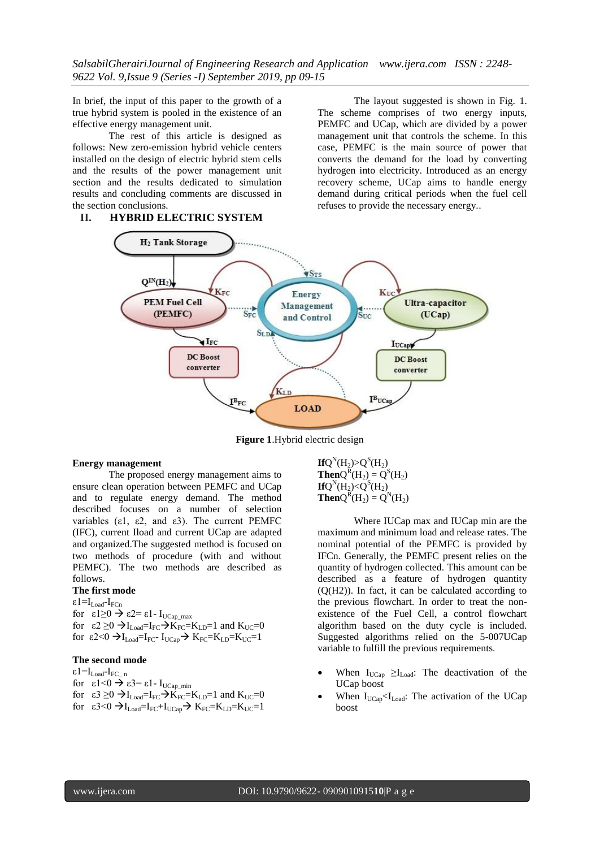In brief, the input of this paper to the growth of a true hybrid system is pooled in the existence of an effective energy management unit.

The rest of this article is designed as follows: New zero-emission hybrid vehicle centers installed on the design of electric hybrid stem cells and the results of the power management unit section and the results dedicated to simulation results and concluding comments are discussed in the section conclusions.

## **II. HYBRID ELECTRIC SYSTEM**

The layout suggested is shown in Fig. 1. The scheme comprises of two energy inputs, PEMFC and UCap, which are divided by a power management unit that controls the scheme. In this case, PEMFC is the main source of power that converts the demand for the load by converting hydrogen into electricity. Introduced as an energy recovery scheme, UCap aims to handle energy demand during critical periods when the fuel cell refuses to provide the necessary energy..



**Figure 1**.Hybrid electric design

#### **Energy management**

The proposed energy management aims to ensure clean operation between PEMFC and UCap and to regulate energy demand. The method described focuses on a number of selection variables (ε1, ε2, and ε3). The current PEMFC (IFC), current Iload and current UCap are adapted and organized.The suggested method is focused on two methods of procedure (with and without PEMFC). The two methods are described as follows.

## **The first mode**

ε1=Ι $_{\rm Load}$ -Ι $_{\rm FCn}$ for  $\varepsilon_1 \geq 0 \implies \varepsilon_2 = \varepsilon_1$ - I<sub>UCap\_max</sub> for  $\varepsilon_2 \geq 0 \rightarrow I_{\text{Load}} = I_{\text{FC}} \rightarrow K_{\text{FC}} = K_{\text{LD}} = 1$  and  $K_{\text{UC}} = 0$ for  $\varepsilon$ 2<0  $\rightarrow$  I<sub>Load</sub>=I<sub>FC</sub>- I<sub>UCap</sub>  $\rightarrow$  K<sub>FC</sub>=K<sub>LD</sub>=K<sub>UC</sub>=1

## **The second mode**

 $\epsilon 1 = I_{\text{Load}} - I_{\text{FC}}$  n for  $\epsilon$ 1<0  $\rightarrow$   $\epsilon$ 3=  $\epsilon$ 1 - I<sub>UCap\_min</sub> for  $\varepsilon_3 \geq 0 \rightarrow I_{\text{Load}}=I_{\text{FC}} \rightarrow K_{\text{FC}}=K_{\text{LD}}=1$  and  $K_{\text{UC}}=0$ for  $\varepsilon$ 3<0  $\rightarrow$ I<sub>Load</sub>=I<sub>FC</sub>+I<sub>UCap</sub> $\rightarrow$  K<sub>FC</sub>=K<sub>LD</sub>=K<sub>UC</sub>=1 **If** $Q^N(H_2) > Q^S(H_2)$ **Then** $Q^{R}(H_2) = Q^{S}(H_2)$ **If**Q<sup>N</sup>(H<sub>2</sub>)<Q<sup>S</sup>(H<sub>2</sub>) **Then** $Q^{R}(H_2) = Q^{N}(H_2)$ 

Where IUCap max and IUCap min are the maximum and minimum load and release rates. The nominal potential of the PEMFC is provided by IFCn. Generally, the PEMFC present relies on the quantity of hydrogen collected. This amount can be described as a feature of hydrogen quantity (Q(H2)). In fact, it can be calculated according to the previous flowchart. In order to treat the nonexistence of the Fuel Cell, a control flowchart algorithm based on the duty cycle is included. Suggested algorithms relied on the 5-007UCap variable to fulfill the previous requirements.

- When  $I_{UCap} \geq I_{Load}$ : The deactivation of the UCap boost
- When  $I_{UCap} < I_{Load}$ : The activation of the UCap boost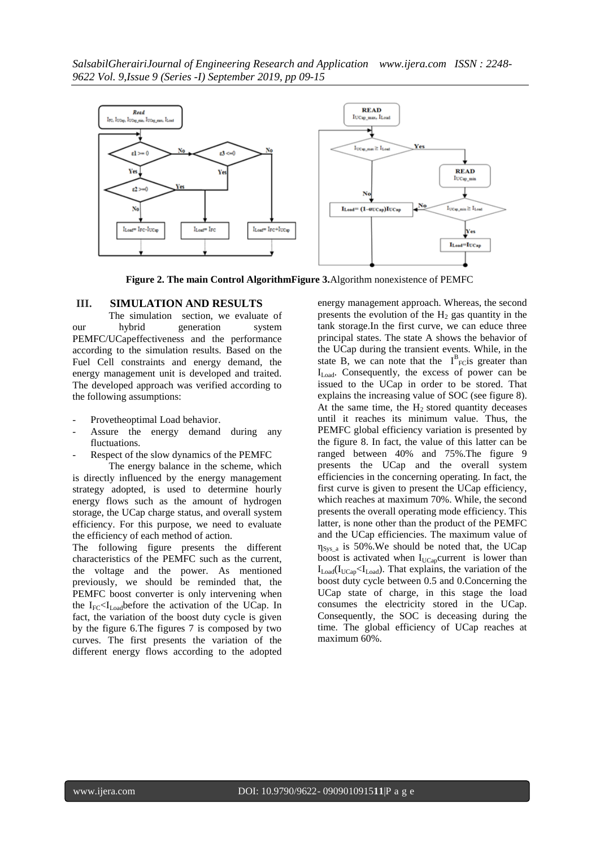

**Figure 2. The main Control AlgorithmFigure 3.**Algorithm nonexistence of PEMFC

# **III. SIMULATION AND RESULTS**

The simulation section, we evaluate of our hybrid generation system PEMFC/UCapeffectiveness and the performance according to the simulation results. Based on the Fuel Cell constraints and energy demand, the energy management unit is developed and traited. The developed approach was verified according to the following assumptions:

- Provetheoptimal Load behavior.
- Assure the energy demand during any fluctuations.
- Respect of the slow dynamics of the PEMFC

The energy balance in the scheme, which is directly influenced by the energy management strategy adopted, is used to determine hourly energy flows such as the amount of hydrogen storage, the UCap charge status, and overall system efficiency. For this purpose, we need to evaluate the efficiency of each method of action.

The following figure presents the different characteristics of the PEMFC such as the current, the voltage and the power. As mentioned previously, we should be reminded that, the PEMFC boost converter is only intervening when the  $I_{FC}$ < $I_{Load}$ before the activation of the UCap. In fact, the variation of the boost duty cycle is given by the figure 6.The figures 7 is composed by two curves. The first presents the variation of the different energy flows according to the adopted

energy management approach. Whereas, the second presents the evolution of the  $H<sub>2</sub>$  gas quantity in the tank storage.In the first curve, we can educe three principal states. The state A shows the behavior of the UCap during the transient events. While, in the state B, we can note that the  $I_{\text{Fc}}^{\text{B}}$  greater than  $I<sub>Load</sub>$ . Consequently, the excess of power can be issued to the UCap in order to be stored. That explains the increasing value of SOC (see figure 8). At the same time, the  $H_2$  stored quantity deceases until it reaches its minimum value. Thus, the PEMFC global efficiency variation is presented by the figure 8. In fact, the value of this latter can be ranged between 40% and 75%.The figure 9 presents the UCap and the overall system efficiencies in the concerning operating. In fact, the first curve is given to present the UCap efficiency, which reaches at maximum 70%. While, the second presents the overall operating mode efficiency. This latter, is none other than the product of the PEMFC and the UCap efficiencies. The maximum value of  $\eta_{\text{Svs a}}$  is 50%. We should be noted that, the UCap boost is activated when  $I_{UCap}$ current is lower than  $I_{\text{Load}}(I_{\text{UCan}} < I_{\text{Load}})$ . That explains, the variation of the boost duty cycle between 0.5 and 0.Concerning the UCap state of charge, in this stage the load consumes the electricity stored in the UCap. Consequently, the SOC is deceasing during the time. The global efficiency of UCap reaches at maximum 60%.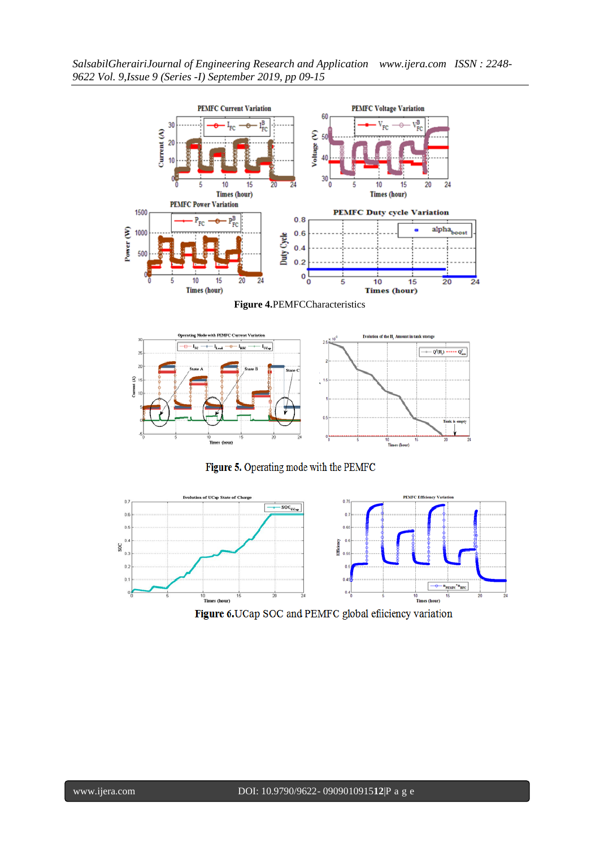

**Figure 4.**PEMFCCharacteristics



Figure 5. Operating mode with the PEMFC



Figure 6.UCap SOC and PEMFC global efficiency variation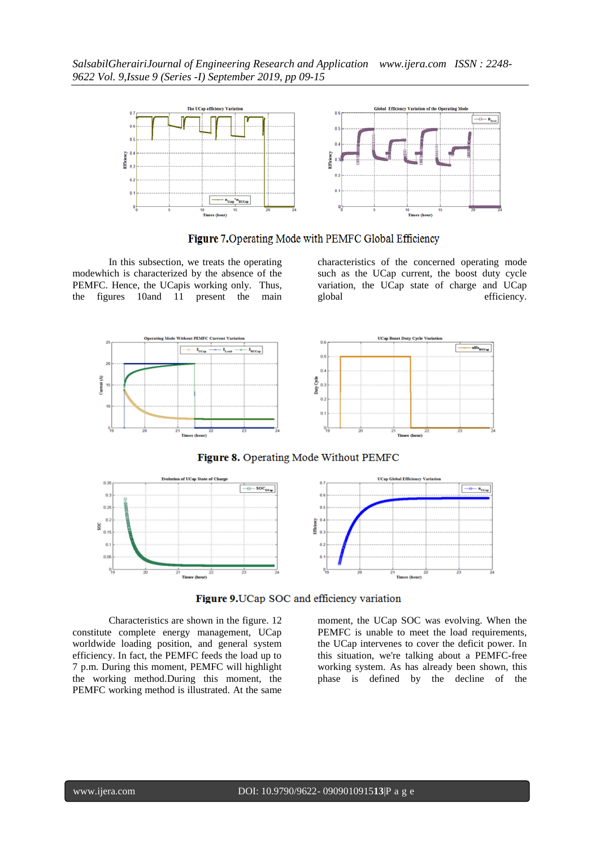

Figure 7. Operating Mode with PEMFC Global Efficiency

In this subsection, we treats the operating modewhich is characterized by the absence of the PEMFC. Hence, the UCapis working only. Thus, the figures 10and 11 present the main

characteristics of the concerned operating mode such as the UCap current, the boost duty cycle variation, the UCap state of charge and UCap global efficiency.



Figure 8. Operating Mode Without PEMFC



Figure 9. UCap SOC and efficiency variation

Characteristics are shown in the figure. 12 constitute complete energy management, UCap worldwide loading position, and general system efficiency. In fact, the PEMFC feeds the load up to 7 p.m. During this moment, PEMFC will highlight the working method.During this moment, the PEMFC working method is illustrated. At the same

moment, the UCap SOC was evolving. When the PEMFC is unable to meet the load requirements, the UCap intervenes to cover the deficit power. In this situation, we're talking about a PEMFC-free working system. As has already been shown, this phase is defined by the decline of the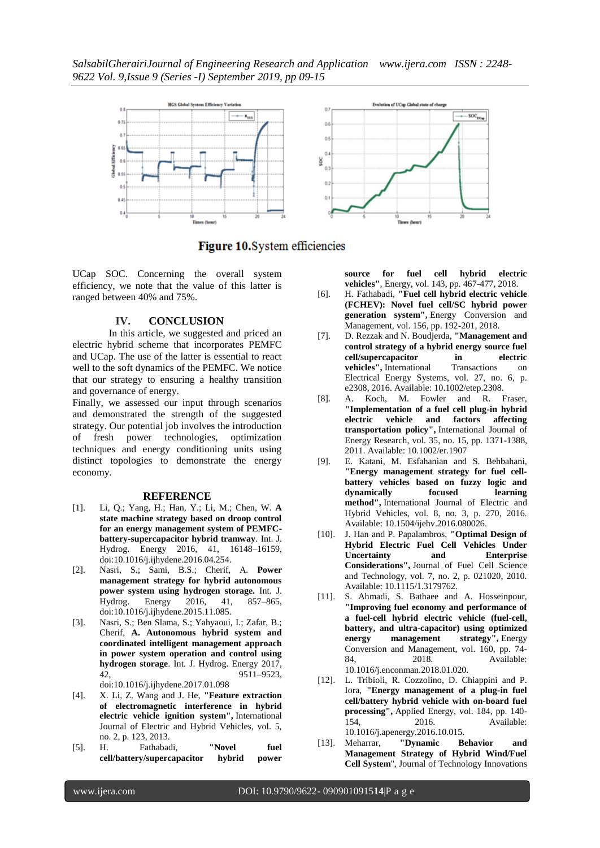

# Figure 10. System efficiencies

UCap SOC. Concerning the overall system efficiency, we note that the value of this latter is ranged between 40% and 75%.

#### **IV. CONCLUSION**

In this article, we suggested and priced an electric hybrid scheme that incorporates PEMFC and UCap. The use of the latter is essential to react well to the soft dynamics of the PEMFC. We notice that our strategy to ensuring a healthy transition and governance of energy.

Finally, we assessed our input through scenarios and demonstrated the strength of the suggested strategy. Our potential job involves the introduction of fresh power technologies, optimization techniques and energy conditioning units using distinct topologies to demonstrate the energy economy.

#### **REFERENCE**

- [1]. Li, Q.; Yang, H.; Han, Y.; Li, M.; Chen, W. **A state machine strategy based on droop control for an energy management system of PEMFCbattery-supercapacitor hybrid tramway**. Int. J. Hydrog. Energy 2016, 41, 16148–16159, doi:10.1016/j.ijhydene.2016.04.254.
- [2]. Nasri, S.; Sami, B.S.; Cherif, A. **Power management strategy for hybrid autonomous power system using hydrogen storage.** Int. J. Hydrog. Energy 2016, 41, 857–865, doi:10.1016/j.ijhydene.2015.11.085.
- [3]. Nasri, S.; Ben Slama, S.; Yahyaoui, I.; Zafar, B.; Cherif, **A. Autonomous hybrid system and coordinated intelligent management approach in power system operation and control using hydrogen storage**. Int. J. Hydrog. Energy 2017, 42, 9511–9523, doi:10.1016/j.ijhydene.2017.01.098
- [4]. X. Li, Z. Wang and J. He, **"Feature extraction of electromagnetic interference in hybrid electric vehicle ignition system",** International Journal of Electric and Hybrid Vehicles, vol. 5, no. 2, p. 123, 2013.
- [5]. H. Fathabadi, **"Novel fuel cell/battery/supercapacitor hybrid power**

**source for fuel cell hybrid electric vehicles"**, Energy, vol. 143, pp. 467-477, 2018.

- [6]. H. Fathabadi, **"Fuel cell hybrid electric vehicle (FCHEV): Novel fuel cell/SC hybrid power generation system",** Energy Conversion and Management, vol. 156, pp. 192-201, 2018.
- [7]. D. Rezzak and N. Boudjerda, **"Management and control strategy of a hybrid energy source fuel cell/supercapacitor in electric vehicles",** International Transactions on Electrical Energy Systems, vol. 27, no. 6, p. e2308, 2016. Available: 10.1002/etep.2308.
- [8]. A. Koch, M. Fowler and R. Fraser, **"Implementation of a fuel cell plug-in hybrid electric vehicle and factors affecting transportation policy",** International Journal of Energy Research, vol. 35, no. 15, pp. 1371-1388, 2011. Available: 10.1002/er.1907
- [9]. E. Katani, M. Esfahanian and S. Behbahani, **"Energy management strategy for fuel cellbattery vehicles based on fuzzy logic and dynamically focused learning method",** International Journal of Electric and Hybrid Vehicles, vol. 8, no. 3, p. 270, 2016. Available: 10.1504/ijehv.2016.080026.
- [10]. J. Han and P. Papalambros, **"Optimal Design of Hybrid Electric Fuel Cell Vehicles Under Uncertainty** and **Considerations",** Journal of Fuel Cell Science and Technology, vol. 7, no. 2, p. 021020, 2010. Available: 10.1115/1.3179762.
- [11]. S. Ahmadi, S. Bathaee and A. Hosseinpour, **"Improving fuel economy and performance of a fuel-cell hybrid electric vehicle (fuel-cell, battery, and ultra-capacitor) using optimized energy management strategy",** Energy Conversion and Management, vol. 160, pp. 74- 84, 2018. Available: 10.1016/j.enconman.2018.01.020.
- [12]. L. Tribioli, R. Cozzolino, D. Chiappini and P. Iora, **"Energy management of a plug-in fuel cell/battery hybrid vehicle with on-board fuel processing",** Applied Energy, vol. 184, pp. 140- 154, 2016. Available: 10.1016/j.apenergy.2016.10.015.
- [13]. Meharrar, **"Dynamic Behavior and Management Strategy of Hybrid Wind/Fuel Cell System**", Journal of Technology Innovations